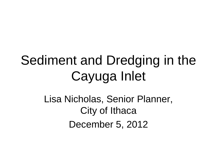# Sediment and Dredging in the Cayuga Inlet

Lisa Nicholas, Senior Planner, City of Ithaca December 5, 2012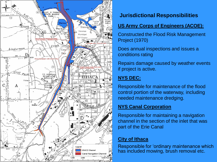

## **Jurisdictional Responsibilities**

#### **US Army Corps of Engineers (ACOE):**

Constructed the Flood Risk Management Project (1970)

Does annual inspections and issues a conditions rating

Repairs damage caused by weather events if project is active.

# **NYS DEC:**

Responsible for maintenance of the flood control portion of the waterway, including needed maintenance dredging.

## **NYS Canal Corporation**

Responsible for maintaining a navigation channel in the section of the inlet that was part of the Erie Canal

#### **City of Ithaca**

Responsible for 'ordinary maintenance which has included mowing, brush removal etc.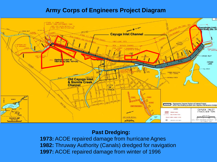## **Army Corps of Engineers Project Diagram**



#### **Past Dredging:**

**1973:** ACOE repaired damage from hurricane Agnes **1982:** Thruway Authority (Canals) dredged for navigation **1997:** ACOE repaired damage from winter of 1996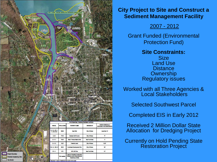

#### **City Project to Site and Construct a Sediment Management Facility**

2007 - 2012

Grant Funded (Environmental Protection Fund)

**Site Constraints:**

**Size** Land Use **Distance Ownership** Regulatory issues

Worked with all Three Agencies & Local Stakeholders

Selected Southwest Parcel

Completed EIS in Early 2012

Received 2 Million Dollar State Allocation for Dredging Project

Currently on Hold Pending State Restoration Project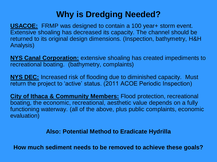# **Why is Dredging Needed?**

**USACOE:** FRMP was designed to contain a 100 year+ storm event. Extensive shoaling has decreased its capacity. The channel should be returned to its original design dimensions. (Inspection, bathymetry, H&H Analysis)

**NYS Canal Corporation:** extensive shoaling has created impediments to recreational boating. (bathymetry, complaints)

**NYS DEC:** Increased risk of flooding due to diminished capacity. Must return the project to 'active' status. (2011 ACOE Periodic Inspection)

**City of Ithaca & Community Members:** Flood protection, recreational boating, the economic, recreational, aesthetic value depends on a fully functioning waterway. (all of the above, plus public complaints, economic evaluation)

#### **Also: Potential Method to Eradicate Hydrilla**

**How much sediment needs to be removed to achieve these goals?**